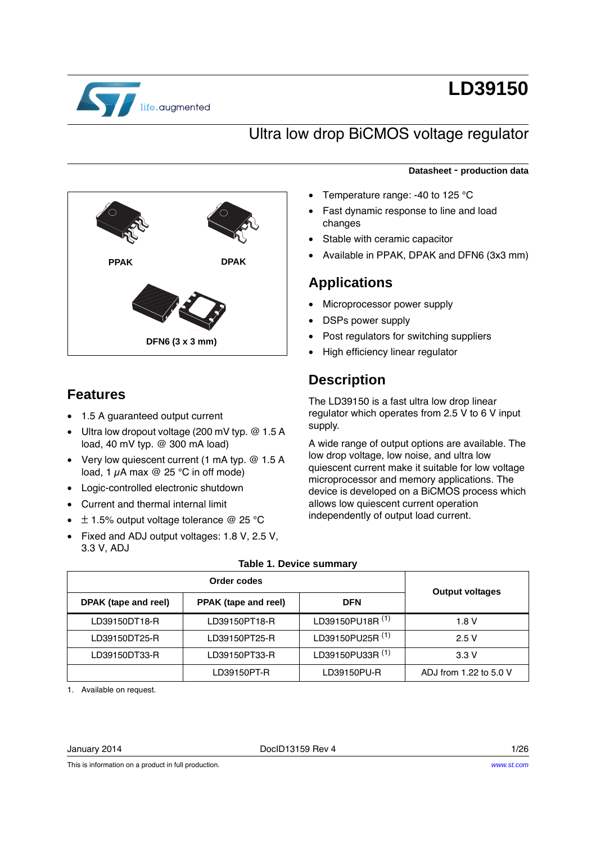

# **LD39150**

# Ultra low drop BiCMOS voltage regulator

# **DFN6 (3 x 3 mm) PPAK DPAK**

# **Features**

- 1.5 A guaranteed output current
- Ultra low dropout voltage (200 mV typ. @ 1.5 A load, 40 mV typ. @ 300 mA load)
- Very low quiescent current (1 mA typ. @ 1.5 A load, 1  $\mu$ A max @ 25 °C in off mode)
- Logic-controlled electronic shutdown
- Current and thermal internal limit
- $\div$  ± 1.5% output voltage tolerance @ 25 °C
- Fixed and ADJ output voltages: 1.8 V, 2.5 V, 3.3 V, ADJ

### **Datasheet** - **production data**

- Temperature range: -40 to 125 °C
- Fast dynamic response to line and load changes
- Stable with ceramic capacitor
- Available in PPAK, DPAK and DFN6 (3x3 mm)

### **Applications**

- Microprocessor power supply
- DSPs power supply
- Post regulators for switching suppliers
- High efficiency linear regulator

# **Description**

The LD39150 is a fast ultra low drop linear regulator which operates from 2.5 V to 6 V input supply.

A wide range of output options are available. The low drop voltage, low noise, and ultra low quiescent current make it suitable for low voltage microprocessor and memory applications. The device is developed on a BiCMOS process which allows low quiescent current operation independently of output load current.

<span id="page-0-0"></span>

| DPAK (tape and reel) | <b>PPAK</b> (tape and reel) | <b>DFN</b>                  | <b>Output voltages</b> |
|----------------------|-----------------------------|-----------------------------|------------------------|
| LD39150DT18-R        | LD39150PT18-R               | LD39150PU18R <sup>(1)</sup> | 1.8 V                  |
| LD39150DT25-R        | LD39150PT25-R               | LD39150PU25R <sup>(1)</sup> | 2.5V                   |
| LD39150DT33-R        | LD39150PT33-R               | LD39150PU33R <sup>(1)</sup> | 3.3V                   |
|                      | LD39150PT-R                 | LD39150PU-R                 | ADJ from 1.22 to 5.0 V |

### **Table 1. Device summary**

1. Available on request.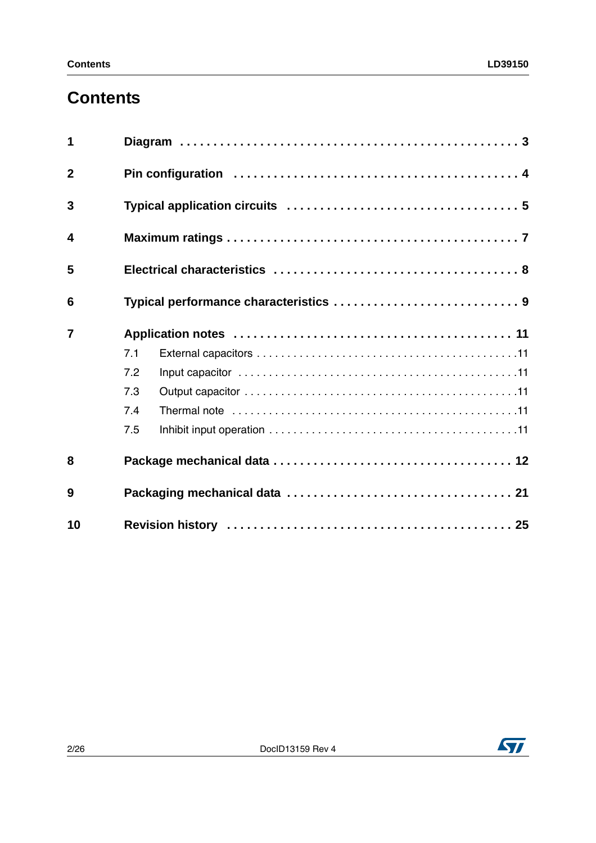# **Contents**

| 1                       |     |  |  |  |  |
|-------------------------|-----|--|--|--|--|
| $\overline{2}$          |     |  |  |  |  |
| 3                       |     |  |  |  |  |
| $\overline{\mathbf{4}}$ |     |  |  |  |  |
| 5                       |     |  |  |  |  |
| 6                       |     |  |  |  |  |
| $\overline{7}$          |     |  |  |  |  |
|                         | 7.1 |  |  |  |  |
|                         | 7.2 |  |  |  |  |
|                         | 7.3 |  |  |  |  |
|                         | 7.4 |  |  |  |  |
|                         | 7.5 |  |  |  |  |
| 8                       |     |  |  |  |  |
| 9                       |     |  |  |  |  |
| 10                      |     |  |  |  |  |

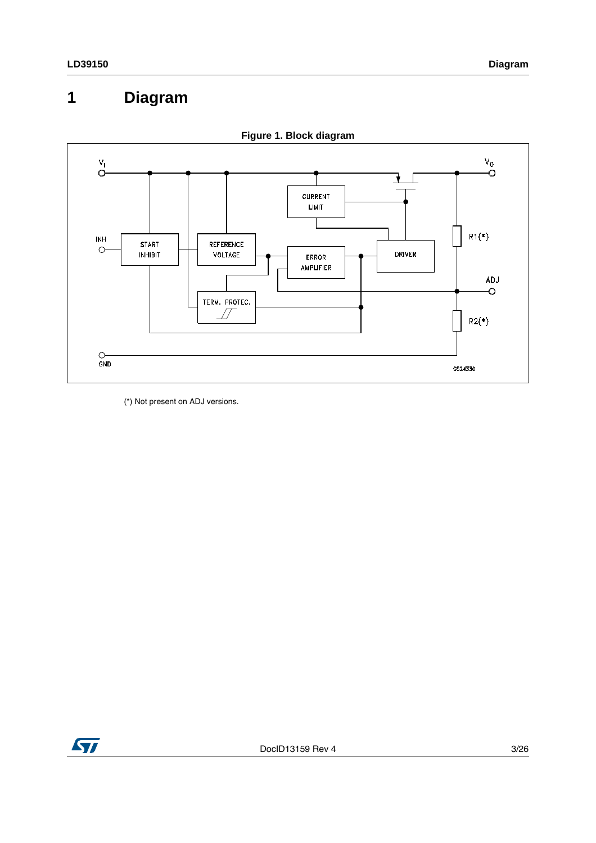# <span id="page-2-0"></span>**1 Diagram**





(\*) Not present on ADJ versions.

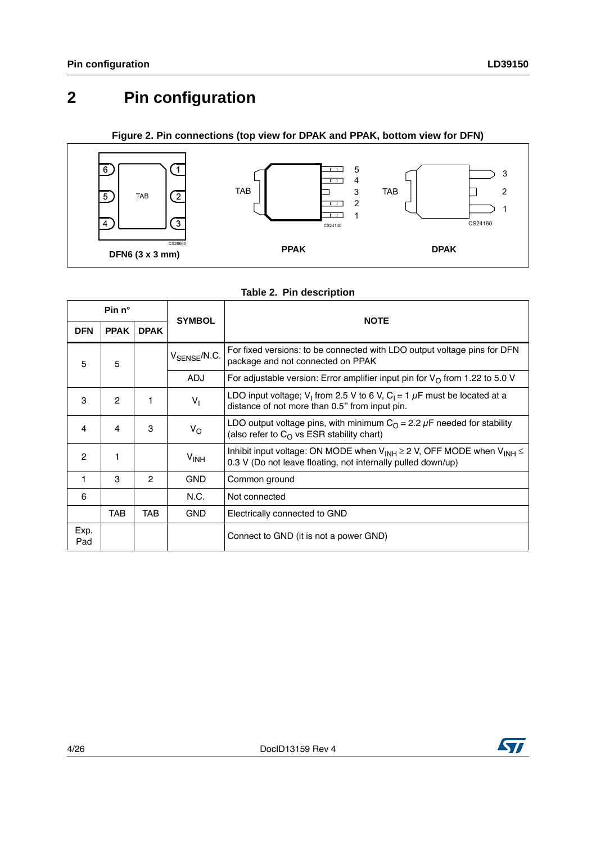# <span id="page-3-0"></span>**2 Pin configuration**

### **Figure 2. Pin connections (top view for DPAK and PPAK, bottom view for DFN)**



|              | Pin n°       |             |                          | <b>NOTE</b>                                                                                                                                            |  |
|--------------|--------------|-------------|--------------------------|--------------------------------------------------------------------------------------------------------------------------------------------------------|--|
| <b>DFN</b>   | <b>PPAK</b>  | <b>DPAK</b> | <b>SYMBOL</b>            |                                                                                                                                                        |  |
| 5<br>5       |              |             | V <sub>SENSE</sub> /N.C. | For fixed versions: to be connected with LDO output voltage pins for DFN<br>package and not connected on PPAK                                          |  |
|              |              |             | <b>ADJ</b>               | For adjustable version: Error amplifier input pin for $V_{\Omega}$ from 1.22 to 5.0 V                                                                  |  |
| 3            | $\mathbf{2}$ |             | $V_{1}$                  | LDO input voltage; V <sub>1</sub> from 2.5 V to 6 V, C <sub>1</sub> = 1 $\mu$ F must be located at a<br>distance of not more than 0.5" from input pin. |  |
| 4            | 4            | 3           | $V_{\rm O}$              | LDO output voltage pins, with minimum $CO = 2.2 \mu F$ needed for stability<br>(also refer to $C_0$ vs ESR stability chart)                            |  |
| $\mathbf{2}$ |              |             | V <sub>INH</sub>         | Inhibit input voltage: ON MODE when $V_{INH} \ge 2 V$ , OFF MODE when $V_{INH} \le$<br>0.3 V (Do not leave floating, not internally pulled down/up)    |  |
| 1            | 3            | 2           | <b>GND</b>               | Common ground                                                                                                                                          |  |
| 6            |              |             | N.C.                     | Not connected                                                                                                                                          |  |
|              | TAB          | TAB         | <b>GND</b>               | Electrically connected to GND                                                                                                                          |  |
| Exp.<br>Pad  |              |             |                          | Connect to GND (it is not a power GND)                                                                                                                 |  |

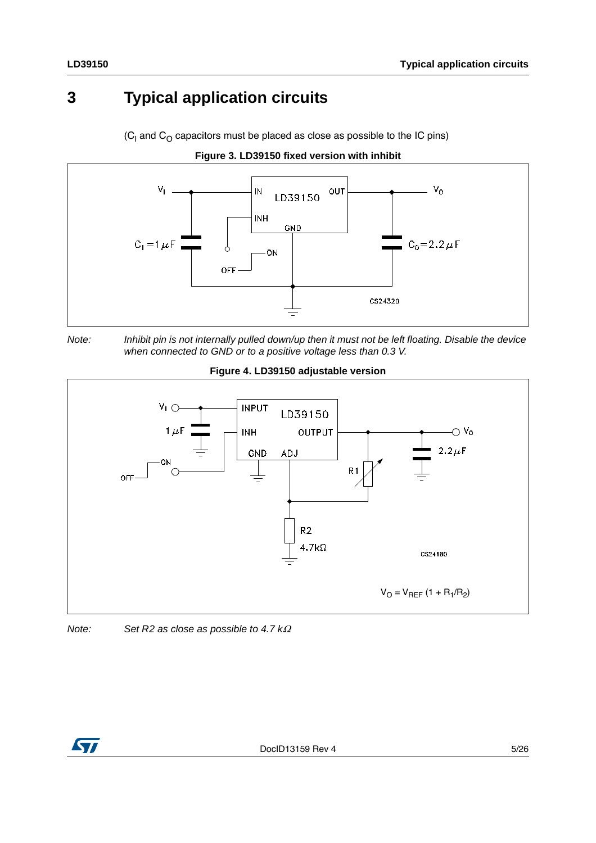# <span id="page-4-0"></span>**3 Typical application circuits**

(C<sub>I</sub> and C<sub>O</sub> capacitors must be placed as close as possible to the IC pins)









**Figure 4. LD39150 adjustable version**



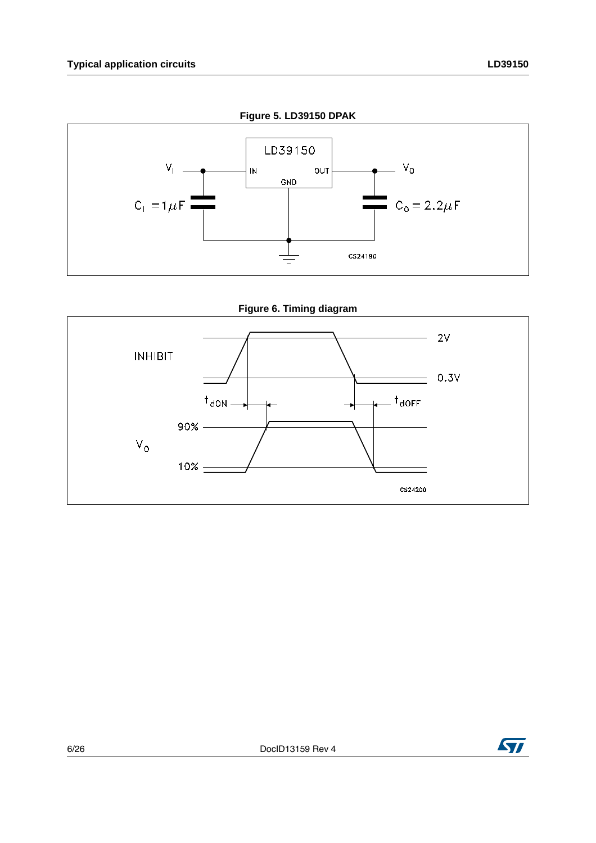





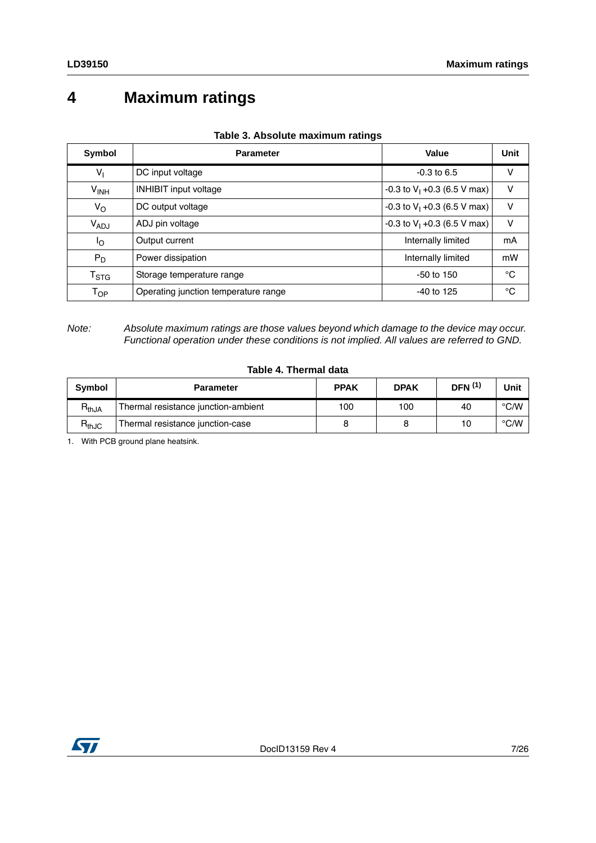# <span id="page-6-0"></span>**4 Maximum ratings**

| <b>Symbol</b>               | <b>Parameter</b>                     | Value                          | Unit |
|-----------------------------|--------------------------------------|--------------------------------|------|
| $V_{1}$                     | DC input voltage                     | $-0.3$ to 6.5                  | v    |
| $V_{INH}$                   | <b>INHIBIT input voltage</b>         | -0.3 to $V_1$ +0.3 (6.5 V max) | v    |
| $V_{\rm O}$                 | DC output voltage                    | -0.3 to $V_1$ +0.3 (6.5 V max) | v    |
| V <sub>ADJ</sub>            | ADJ pin voltage                      | -0.3 to $V_1$ +0.3 (6.5 V max) | v    |
| ٥l                          | Output current                       | Internally limited             | mA   |
| $P_D$                       | Power dissipation                    | Internally limited             | mW   |
| $\mathsf{T}_{\textsf{STG}}$ | Storage temperature range            | $-50$ to $150$                 | °C   |
| $\mathsf{T}_{\mathsf{OP}}$  | Operating junction temperature range | $-40$ to 125                   | °C   |

### **Table 3. Absolute maximum ratings**

*Note: Absolute maximum ratings are those values beyond which damage to the device may occur. Functional operation under these conditions is not implied. All values are referred to GND.*

### **Table 4. Thermal data**

| <b>Symbol</b> | <b>Parameter</b>                    | <b>PPAK</b> | <b>DPAK</b> | <b>DFN</b> <sup>(1)</sup> | Unit |
|---------------|-------------------------------------|-------------|-------------|---------------------------|------|
| $R_{thJA}$    | Thermal resistance junction-ambient | 100         | 100         | 40                        | °C/W |
| $H_{thJC}$    | Thermal resistance junction-case    |             |             | 10                        | °C/W |

1. With PCB ground plane heatsink.

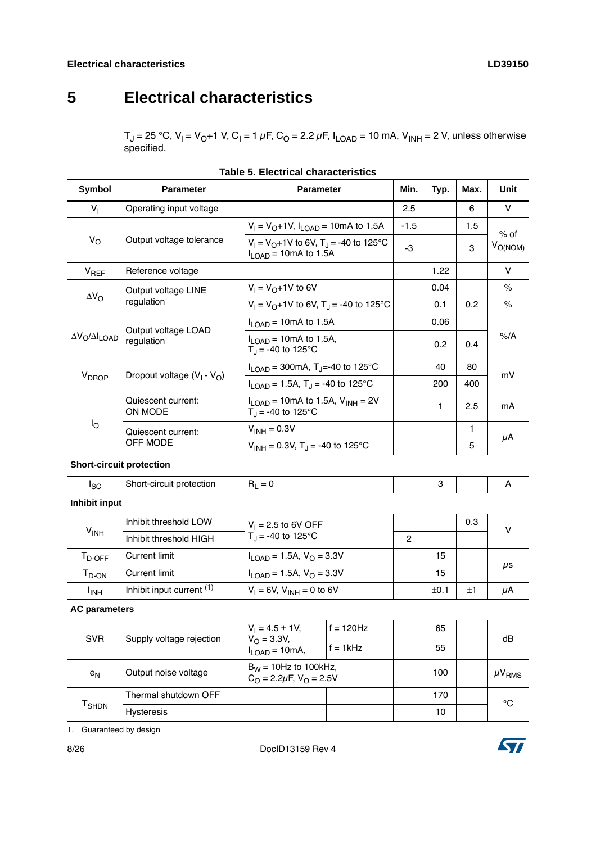# <span id="page-7-0"></span>**5 Electrical characteristics**

 $T_J$  = 25 °C, V<sub>I</sub> = V<sub>O</sub>+1 V, C<sub>I</sub> = 1 μF, C<sub>O</sub> = 2.2 μF, I<sub>LOAD</sub> = 10 mA, V<sub>INH</sub> = 2 V, unless otherwise specified.

| <b>Symbol</b>                   | <b>Parameter</b>              | <b>Parameter</b>                                                  |                                                                                            | Min.           | Typ. | Max.         | Unit                   |  |
|---------------------------------|-------------------------------|-------------------------------------------------------------------|--------------------------------------------------------------------------------------------|----------------|------|--------------|------------------------|--|
| $V_{1}$                         | Operating input voltage       |                                                                   |                                                                                            | 2.5            |      | 6            | V                      |  |
|                                 |                               | $V_1 = V_0 + 1V$ , $I_{LOAD} = 10$ mA to 1.5A                     |                                                                                            | $-1.5$         |      | 1.5          | $%$ of                 |  |
| $V_{\rm O}$                     | Output voltage tolerance      |                                                                   | $V_1 = V_0 + 1V$ to 6V, T <sub>J</sub> = -40 to 125 °C<br>$I_{\text{LOAD}}$ = 10mA to 1.5A |                |      | 3            | $V_{O(NOM)}$           |  |
| $V_{REF}$                       | Reference voltage             |                                                                   |                                                                                            |                | 1.22 |              | $\vee$                 |  |
|                                 | Output voltage LINE           | $V_1 = V_0 + 1V$ to 6V                                            |                                                                                            |                | 0.04 |              | $\%$                   |  |
| $\Delta V_{\rm O}$              | regulation                    | $V_1 = V_0 + 1V$ to 6V, T <sub>J</sub> = -40 to 125°C             |                                                                                            |                | 0.1  | 0.2          | $\frac{1}{6}$          |  |
|                                 | Output voltage LOAD           | $I_{\text{LOAD}}$ = 10mA to 1.5A                                  |                                                                                            |                | 0.06 |              |                        |  |
| $\Delta V_O / \Delta I_{LOAD}$  | regulation                    | $I_{\text{LOAD}}$ = 10mA to 1.5A,<br>$T_{J}$ = -40 to 125°C       |                                                                                            |                | 0.2  | 0.4          | %A                     |  |
|                                 |                               | $I_{\text{LOAD}}$ = 300mA, T <sub>J</sub> =-40 to 125°C           |                                                                                            |                | 40   | 80           |                        |  |
| V <sub>DROP</sub>               | Dropout voltage $(V_1 - V_0)$ | $I_{LOAD}$ = 1.5A, T <sub>J</sub> = -40 to 125°C                  |                                                                                            |                | 200  | 400          | mV                     |  |
|                                 | Quiescent current:<br>ON MODE | $I_{LOAD}$ = 10mA to 1.5A, $V_{INH}$ = 2V<br>$T_J = -40$ to 125°C |                                                                                            |                | 1    | 2.5          | mA                     |  |
| lo                              | Quiescent current:            | $V_{INH} = 0.3V$                                                  |                                                                                            |                |      | $\mathbf{1}$ | μΑ                     |  |
|                                 | OFF MODE                      | $V_{INH} = 0.3V$ , T <sub>J</sub> = -40 to 125°C                  |                                                                                            |                |      | 5            |                        |  |
| <b>Short-circuit protection</b> |                               |                                                                   |                                                                                            |                |      |              |                        |  |
| <sub>sc</sub>                   | Short-circuit protection      | $R_L = 0$                                                         |                                                                                            |                | 3    |              | Α                      |  |
| Inhibit input                   |                               |                                                                   |                                                                                            |                |      |              |                        |  |
|                                 | Inhibit threshold LOW         | $V_1 = 2.5$ to 6V OFF                                             |                                                                                            |                |      | 0.3          | $\vee$                 |  |
| $V_{INH}$                       | Inhibit threshold HIGH        | $T_J = -40$ to 125°C                                              |                                                                                            | $\overline{2}$ |      |              |                        |  |
| $T_{D\text{-}OFF}$              | <b>Current limit</b>          | $I_{\text{LOAD}} = 1.5A, V_{\text{O}} = 3.3V$                     |                                                                                            |                | 15   |              |                        |  |
| $T_{D-ON}$                      | <b>Current limit</b>          | $I_{LOAD}$ = 1.5A, $V_{O}$ = 3.3V                                 |                                                                                            |                | 15   |              | $\mu$ s                |  |
| <b>I<sub>INH</sub></b>          | Inhibit input current (1)     | $V_1 = 6V$ , $V_{INH} = 0$ to 6V                                  |                                                                                            |                | ±0.1 | ±1           | μA                     |  |
| <b>AC parameters</b>            |                               |                                                                   |                                                                                            |                |      |              |                        |  |
| <b>SVR</b>                      |                               | $V_1 = 4.5 \pm 1V$ ,                                              | $f = 120$ Hz                                                                               |                | 65   |              |                        |  |
|                                 | Supply voltage rejection      | $V_{\Omega} = 3.3V,$<br>$f = 1$ kHz<br>$I_{LOAD} = 10mA,$         |                                                                                            |                | 55   |              | dB                     |  |
| $e_N$                           | Output noise voltage          | $B_W = 10Hz$ to 100kHz,<br>$C_O = 2.2 \mu F$ , $V_O = 2.5 V$      |                                                                                            |                | 100  |              | $\mu$ V <sub>RMS</sub> |  |
|                                 | Thermal shutdown OFF          |                                                                   |                                                                                            |                | 170  |              | $^{\circ}{\rm C}$      |  |
| T <sub>SHDN</sub>               | <b>Hysteresis</b>             |                                                                   |                                                                                            |                | 10   |              |                        |  |

1. Guaranteed by design

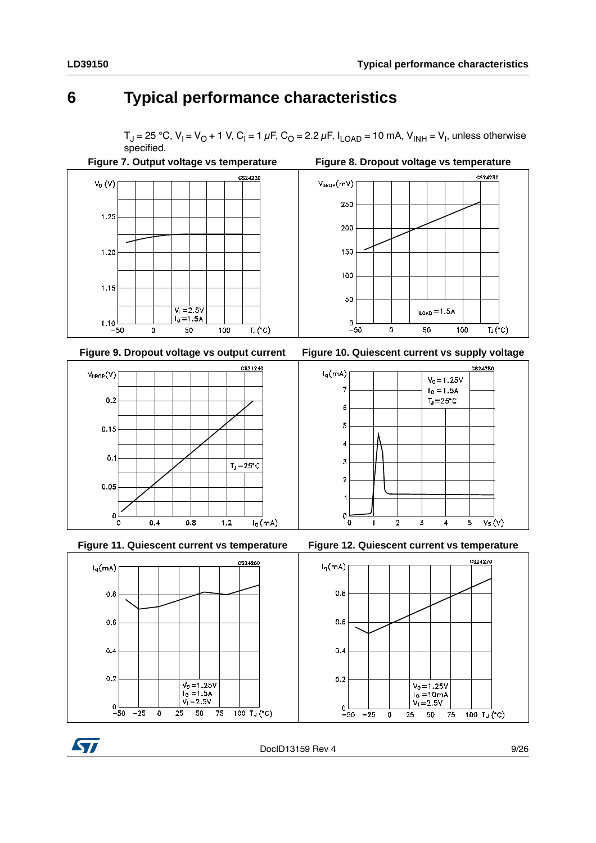$V_0 = 1.25V$ 

 $I_0 = 1.5A$ 

 $T_J = 25^{\circ}C$ 

# <span id="page-8-0"></span>**6 Typical performance characteristics**

 $T_J$  = 25 °C, V<sub>I</sub> = V<sub>O</sub> + 1 V, C<sub>I</sub> = 1  $\mu$ F, C<sub>O</sub> = 2.2  $\mu$ F, I<sub>LOAD</sub> = 10 mA, V<sub>INH</sub> = V<sub>I</sub>, unless otherwise specified.

 $I_q(mA)$ 

 $\overline{7}$ 

 $\,6$ 5

 $\overline{4}$ 

 $\mathbf 3$ 

 $\overline{2}$ 

 $\mathsf{O}\xspace$ 

΄o

 $\mathbf{1}$ 









 $\mathbf 3$ 

 $\overline{\mathbf{4}}$ 

 $\mathbf 5$ 

 $V_S(V)$ 

 $\mathbf 2$ 



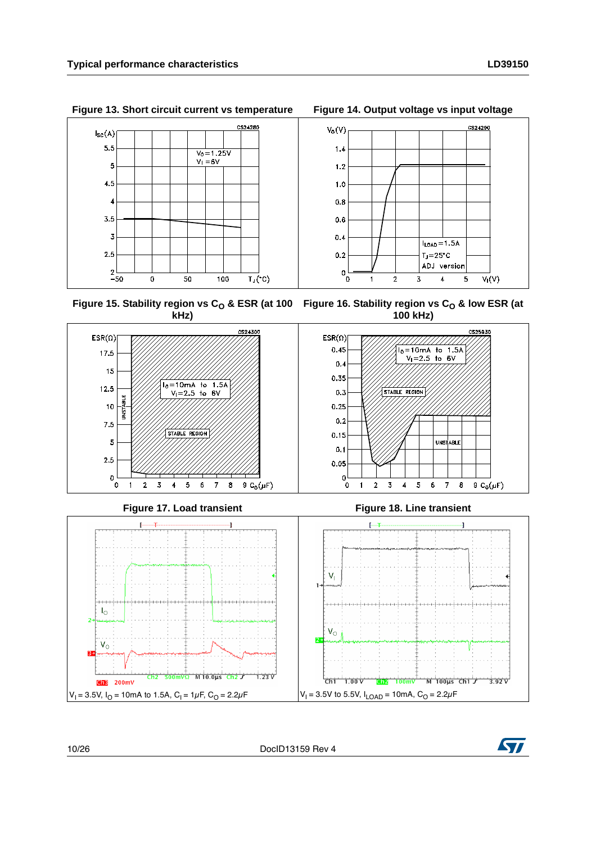

**Figure 13. Short circuit current vs temperature Figure 14. Output voltage vs input voltage**

<span id="page-9-1"></span><span id="page-9-0"></span>Figure 15. Stability region vs C<sub>O</sub> & ESR (at 100 Figure 16. Stability region vs C<sub>O</sub> & low ESR (at **kHz) 100 kHz)**



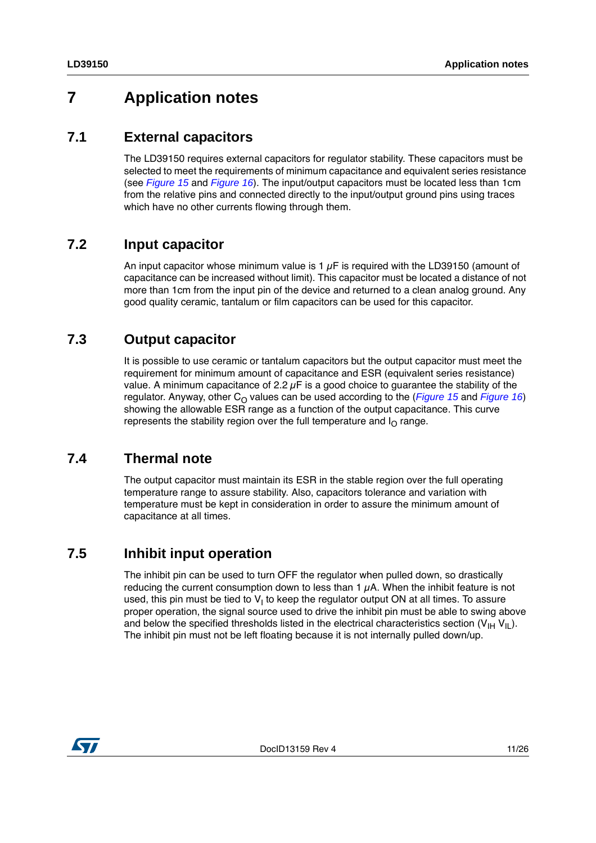# <span id="page-10-0"></span>**7 Application notes**

### <span id="page-10-1"></span>**7.1 External capacitors**

The LD39150 requires external capacitors for regulator stability. These capacitors must be selected to meet the requirements of minimum capacitance and equivalent series resistance (see *[Figure 15](#page-9-0)* and *[Figure 16](#page-9-1)*). The input/output capacitors must be located less than 1cm from the relative pins and connected directly to the input/output ground pins using traces which have no other currents flowing through them.

## <span id="page-10-2"></span>**7.2 Input capacitor**

An input capacitor whose minimum value is 1  $\mu$ F is required with the LD39150 (amount of capacitance can be increased without limit). This capacitor must be located a distance of not more than 1cm from the input pin of the device and returned to a clean analog ground. Any good quality ceramic, tantalum or film capacitors can be used for this capacitor.

### <span id="page-10-3"></span>**7.3 Output capacitor**

It is possible to use ceramic or tantalum capacitors but the output capacitor must meet the requirement for minimum amount of capacitance and ESR (equivalent series resistance) value. A minimum capacitance of 2.2  $\mu$ F is a good choice to guarantee the stability of the regulator. Anyway, other C<sub>O</sub> values can be used according to the (*[Figure 15](#page-9-0)* and *[Figure 16](#page-9-1)*) showing the allowable ESR range as a function of the output capacitance. This curve represents the stability region over the full temperature and  $I<sub>O</sub>$  range.

## <span id="page-10-4"></span>**7.4 Thermal note**

The output capacitor must maintain its ESR in the stable region over the full operating temperature range to assure stability. Also, capacitors tolerance and variation with temperature must be kept in consideration in order to assure the minimum amount of capacitance at all times.

## <span id="page-10-5"></span>**7.5 Inhibit input operation**

The inhibit pin can be used to turn OFF the regulator when pulled down, so drastically reducing the current consumption down to less than  $1 \mu A$ . When the inhibit feature is not used, this pin must be tied to V<sub>I</sub> to keep the regulator output ON at all times. To assure proper operation, the signal source used to drive the inhibit pin must be able to swing above and below the specified thresholds listed in the electrical characteristics section  $(V_{H} V_{II})$ . The inhibit pin must not be left floating because it is not internally pulled down/up.

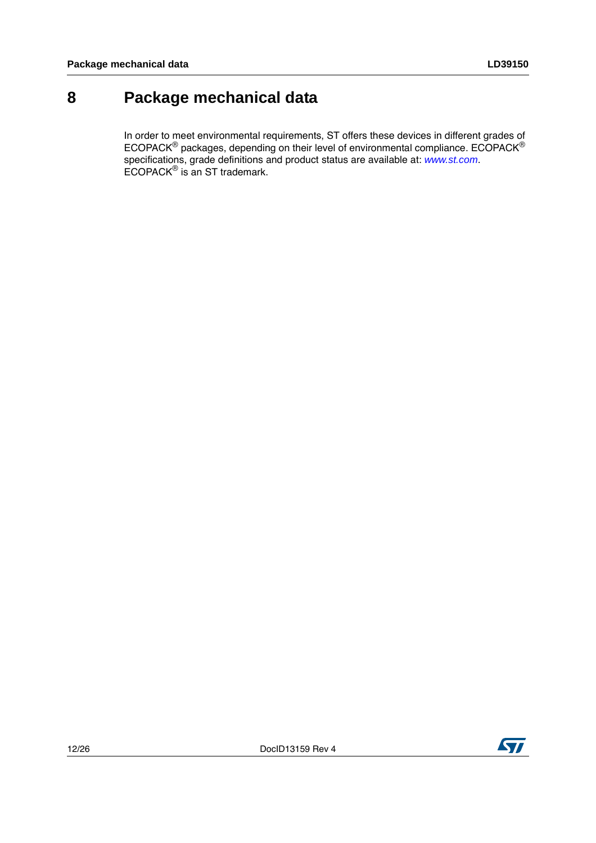# <span id="page-11-0"></span>**8 Package mechanical data**

In order to meet environmental requirements, ST offers these devices in different grades of ECOPACK® packages, depending on their level of environmental compliance. ECOPACK® specifications, grade definitions and product status are available at: *[www.st.com](http://www.st.com)*. ECOPACK® is an ST trademark.

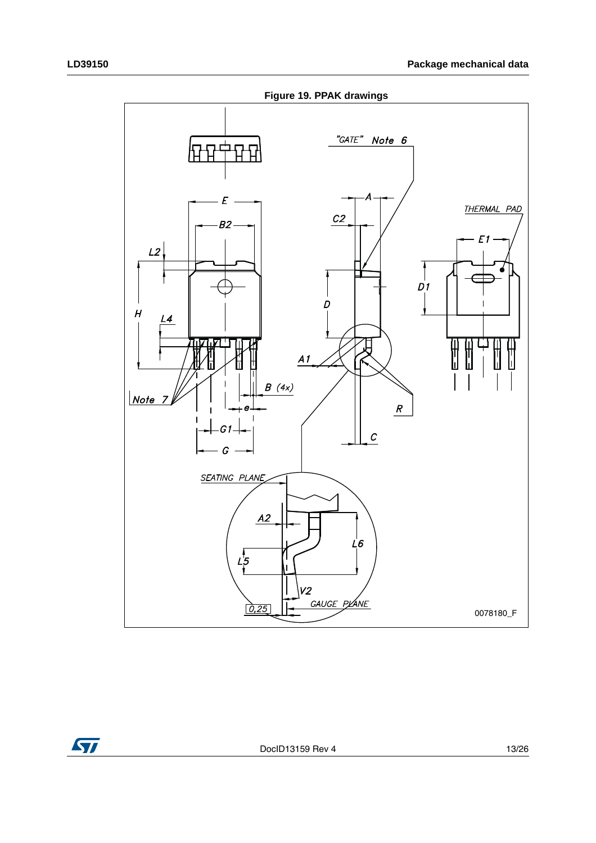

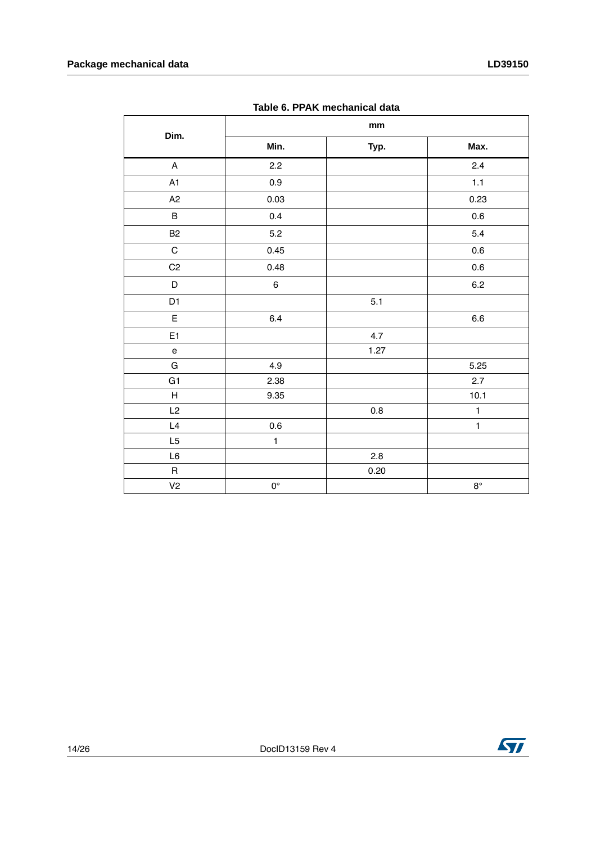| Table 6. PPAK mechanical data     |                    |      |              |  |  |
|-----------------------------------|--------------------|------|--------------|--|--|
| Dim.                              | mm                 |      |              |  |  |
|                                   | Min.               | Typ. | Max.         |  |  |
| $\mathsf A$                       | 2.2                |      | 2.4          |  |  |
| A1                                | $0.9\,$            |      | $1.1$        |  |  |
| A2                                | 0.03               |      | 0.23         |  |  |
| $\sf B$                           | 0.4                |      | 0.6          |  |  |
| <b>B2</b>                         | 5.2                |      | 5.4          |  |  |
| $\mathbf C$                       | 0.45               |      | 0.6          |  |  |
| C2                                | 0.48               |      | $0.6\,$      |  |  |
| D                                 | 6                  |      | 6.2          |  |  |
| D <sub>1</sub>                    |                    | 5.1  |              |  |  |
| $\mathsf E$                       | 6.4                |      | $6.6\,$      |  |  |
| E <sub>1</sub>                    |                    | 4.7  |              |  |  |
| $\mathsf{e}% _{t}\left( t\right)$ |                    | 1.27 |              |  |  |
| ${\bf G}$                         | 4.9                |      | 5.25         |  |  |
| G <sub>1</sub>                    | 2.38               |      | 2.7          |  |  |
| Н                                 | 9.35               |      | 10.1         |  |  |
| L2                                |                    | 0.8  | $\mathbf{1}$ |  |  |
| L4                                | 0.6                |      | $\mathbf{1}$ |  |  |
| L5                                | $\mathbf{1}$       |      |              |  |  |
| L6                                |                    | 2.8  |              |  |  |
| $\mathsf R$                       |                    | 0.20 |              |  |  |
| V <sub>2</sub>                    | $\mathsf{O}^\circ$ |      | $8^{\circ}$  |  |  |

**Table 6. PPAK mechanical data**

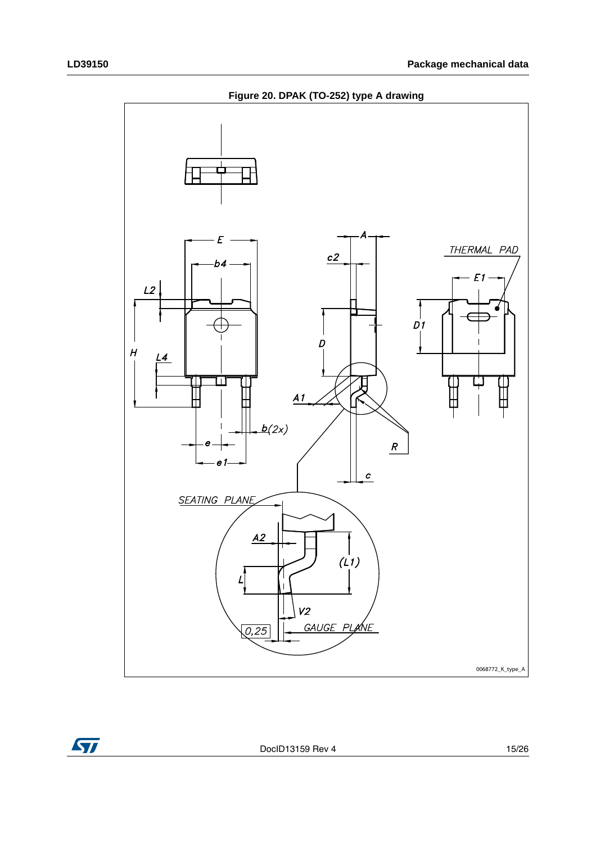



DocID13159 Rev 4 15/26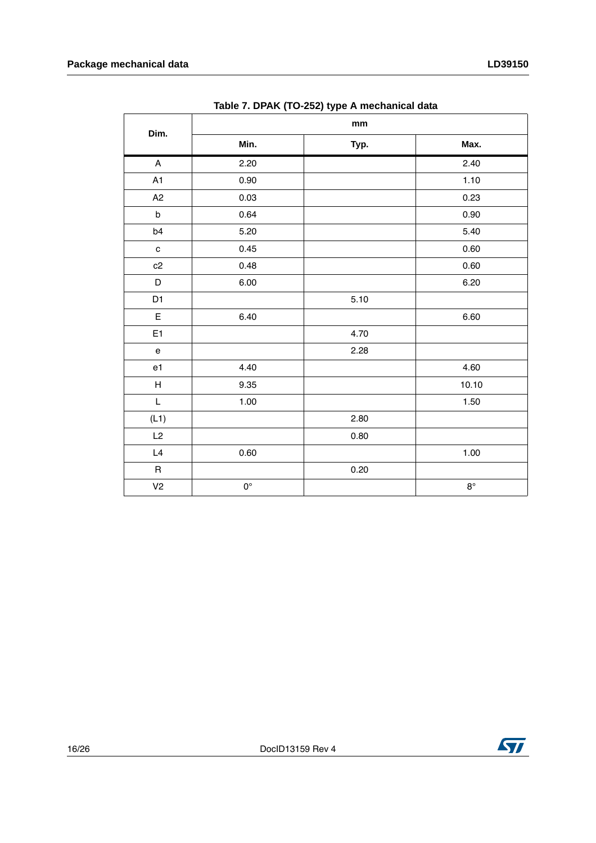|                                                                                                     | $1000011$ DT $10001$ $100000$ $100000$ $10000$ $10000$<br>mm |      |             |  |
|-----------------------------------------------------------------------------------------------------|--------------------------------------------------------------|------|-------------|--|
| Dim.                                                                                                | Min.                                                         | Typ. | Max.        |  |
| $\boldsymbol{\mathsf{A}}$                                                                           | 2.20                                                         |      | 2.40        |  |
| A1                                                                                                  | 0.90                                                         |      | 1.10        |  |
| A2                                                                                                  | 0.03                                                         |      | 0.23        |  |
| $\sf b$                                                                                             | 0.64                                                         |      | 0.90        |  |
| b4                                                                                                  | 5.20                                                         |      | 5.40        |  |
| $\mathbf c$                                                                                         | 0.45                                                         |      | $0.60\,$    |  |
| c2                                                                                                  | 0.48                                                         |      | 0.60        |  |
| D                                                                                                   | 6.00                                                         |      | 6.20        |  |
| D1                                                                                                  |                                                              | 5.10 |             |  |
| E                                                                                                   | 6.40                                                         |      | 6.60        |  |
| E <sub>1</sub>                                                                                      |                                                              | 4.70 |             |  |
| $\mathbf{e}% _{t}\left( t\right)$                                                                   |                                                              | 2.28 |             |  |
| e1                                                                                                  | 4.40                                                         |      | 4.60        |  |
| $\sf H$                                                                                             | 9.35                                                         |      | 10.10       |  |
| $\mathsf{L}% _{0}\left( \mathsf{L}_{0}\right) ^{T}=\mathsf{L}_{0}\left( \mathsf{L}_{0}\right) ^{T}$ | 1.00                                                         |      | 1.50        |  |
| (L1)                                                                                                |                                                              | 2.80 |             |  |
| L2                                                                                                  |                                                              | 0.80 |             |  |
| L4                                                                                                  | 0.60                                                         |      | 1.00        |  |
| $\mathsf R$                                                                                         |                                                              | 0.20 |             |  |
| V <sub>2</sub>                                                                                      | $\mathsf{O}^\circ$                                           |      | $8^{\circ}$ |  |

**Table 7. DPAK (TO-252) type A mechanical data**

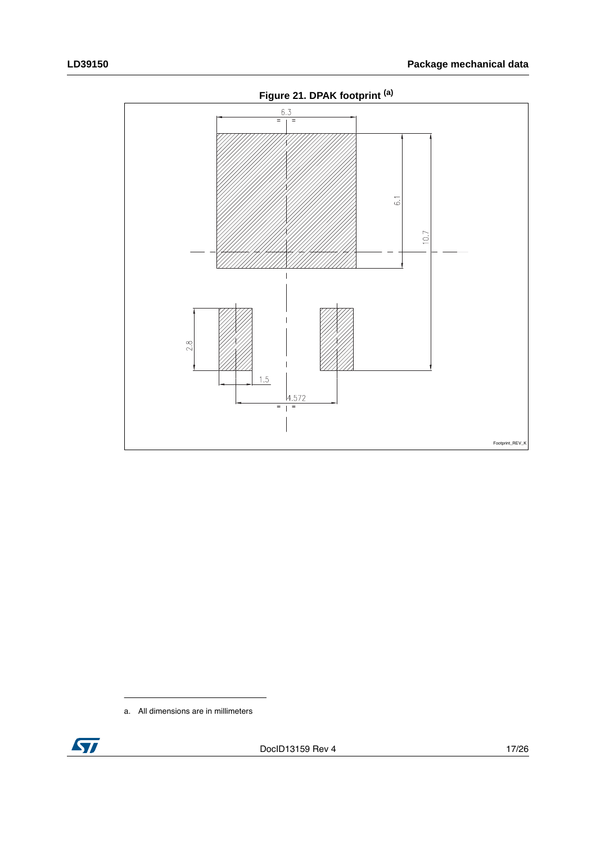

a. All dimensions are in millimeters

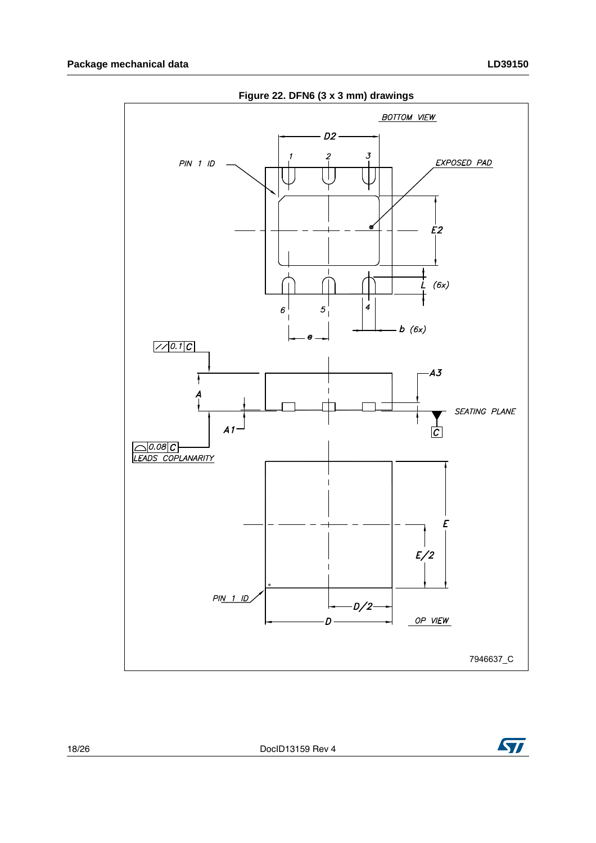

**Figure 22. DFN6 (3 x 3 mm) drawings**

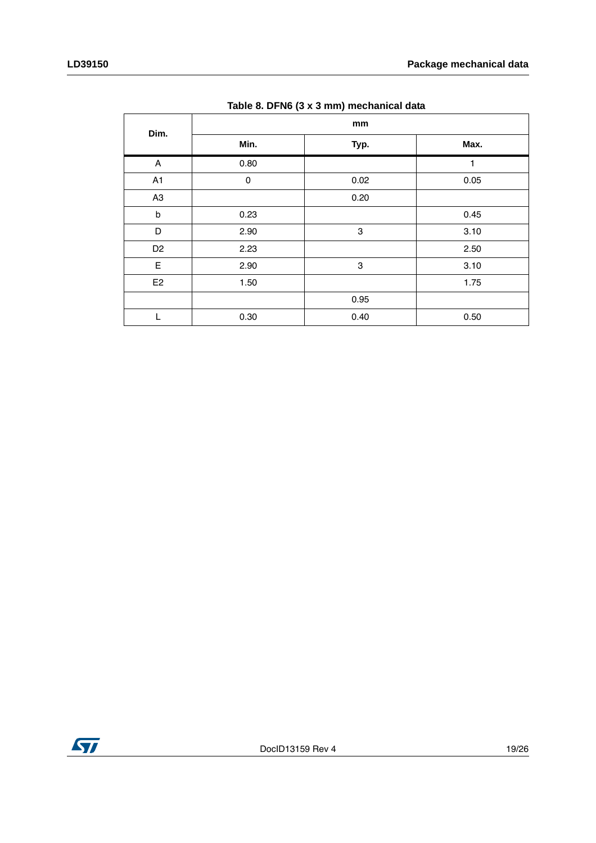| Dim.                      | mm        |                           |      |  |  |
|---------------------------|-----------|---------------------------|------|--|--|
|                           | Min.      | Typ.                      | Max. |  |  |
| $\boldsymbol{\mathsf{A}}$ | 0.80      |                           | 1    |  |  |
| A <sub>1</sub>            | $\pmb{0}$ | 0.02                      | 0.05 |  |  |
| A <sub>3</sub>            |           | 0.20                      |      |  |  |
| $\sf b$                   | 0.23      |                           | 0.45 |  |  |
| D                         | 2.90      | $\ensuremath{\mathsf{3}}$ | 3.10 |  |  |
| D <sub>2</sub>            | 2.23      |                           | 2.50 |  |  |
| E                         | 2.90      | $\ensuremath{\mathsf{3}}$ | 3.10 |  |  |
| E <sub>2</sub>            | 1.50      |                           | 1.75 |  |  |
|                           |           | 0.95                      |      |  |  |
| L                         | 0.30      | 0.40                      | 0.50 |  |  |

**Table 8. DFN6 (3 x 3 mm) mechanical data**

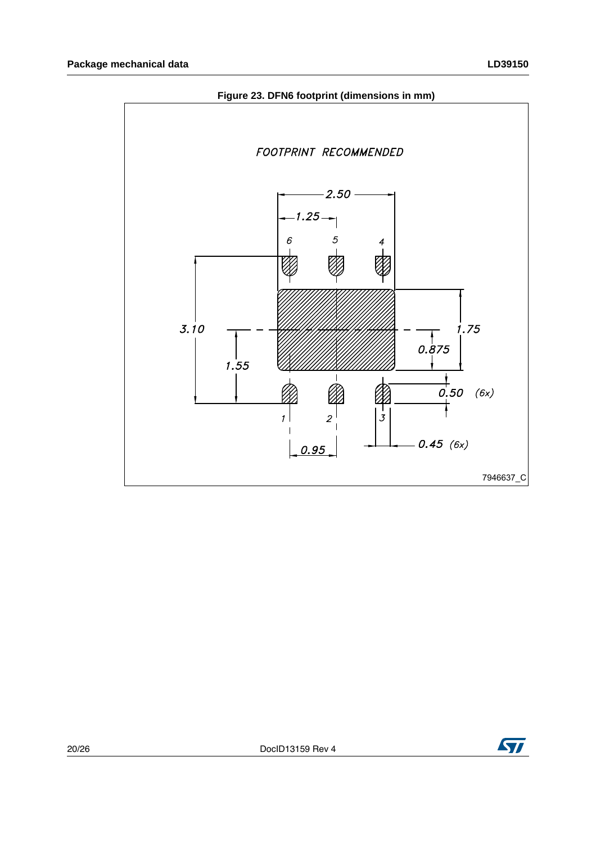

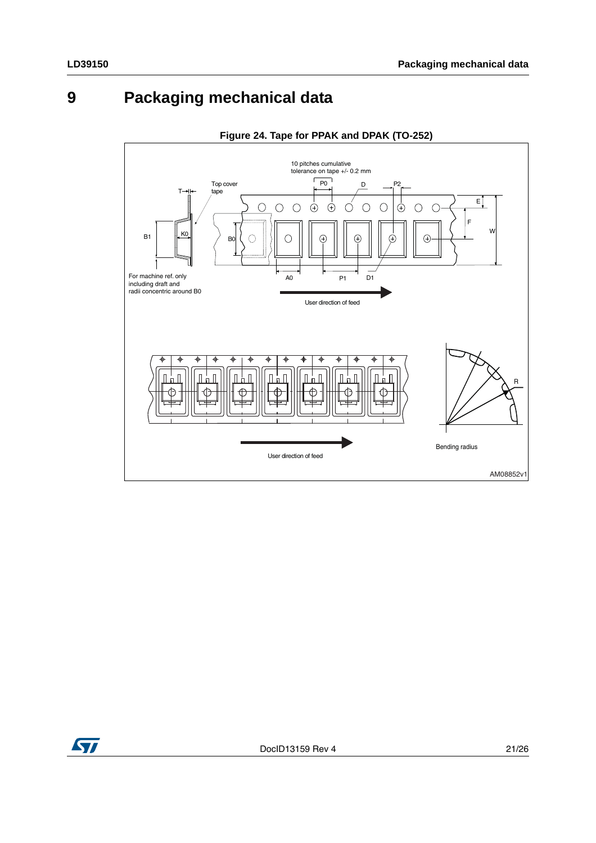# <span id="page-20-0"></span>**9 Packaging mechanical data**



### **Figure 24. Tape for PPAK and DPAK (TO-252)**

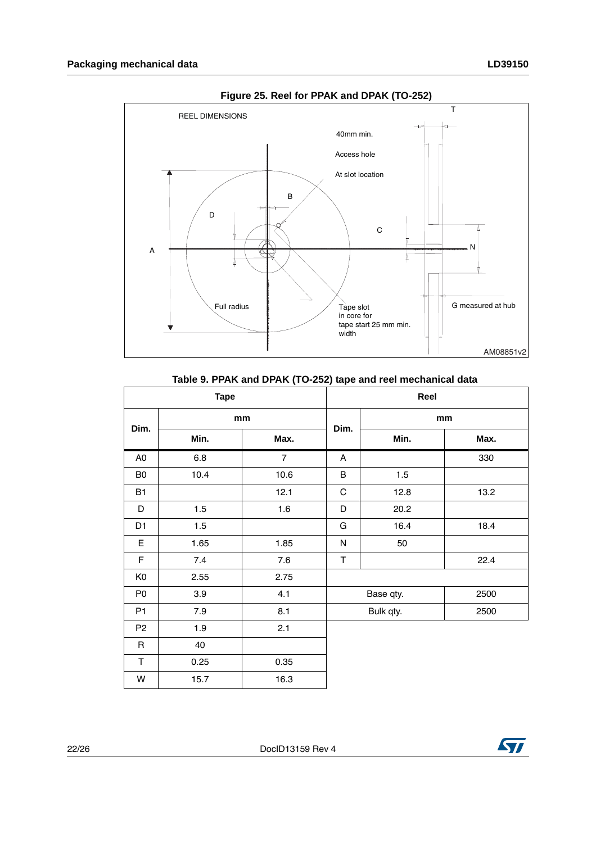

**Figure 25. Reel for PPAK and DPAK (TO-252)**

| <b>Tape</b>    |      |                | Reel              |      |      |
|----------------|------|----------------|-------------------|------|------|
| Dim.           | mm   | Dim.           | mm                |      |      |
|                | Min. | Max.           |                   | Min. | Max. |
| A <sub>0</sub> | 6.8  | $\overline{7}$ | A                 |      | 330  |
| B <sub>0</sub> | 10.4 | 10.6           | B                 | 1.5  |      |
| <b>B1</b>      |      | 12.1           | C                 | 12.8 | 13.2 |
| D              | 1.5  | 1.6            | D                 | 20.2 |      |
| D <sub>1</sub> | 1.5  |                | G                 | 16.4 | 18.4 |
| E              | 1.65 | 1.85           | N                 | 50   |      |
| F              | 7.4  | 7.6            | T                 |      | 22.4 |
| K <sub>0</sub> | 2.55 | 2.75           |                   |      |      |
| P <sub>0</sub> | 3.9  | 4.1            | Base qty.<br>2500 |      |      |
| P <sub>1</sub> | 7.9  | 8.1            | Bulk qty.<br>2500 |      |      |
| P <sub>2</sub> | 1.9  | 2.1            |                   |      |      |
| $\mathsf R$    | 40   |                |                   |      |      |
| $\mathsf T$    | 0.25 | 0.35           |                   |      |      |
| W              | 15.7 | 16.3           |                   |      |      |

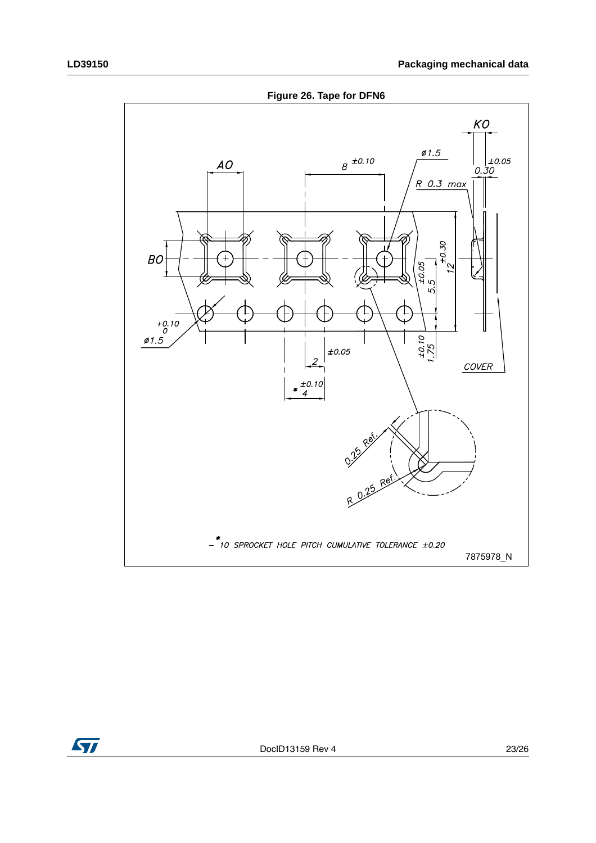**Figure 26. Tape for DFN6**



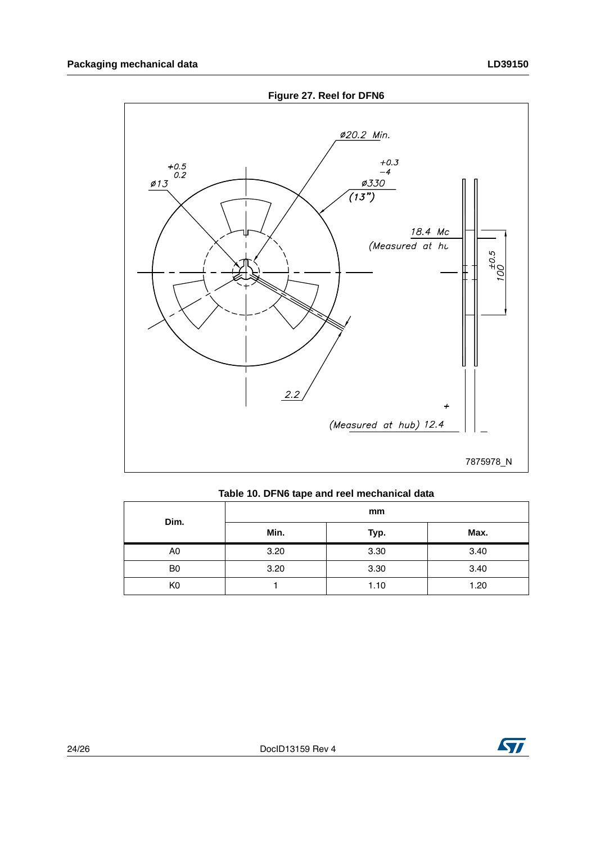

|  |  |  | Table 10. DFN6 tape and reel mechanical data |  |
|--|--|--|----------------------------------------------|--|
|  |  |  |                                              |  |

| Dim.           | mm   |      |      |  |  |
|----------------|------|------|------|--|--|
|                | Min. | Typ. | Max. |  |  |
| A0             | 3.20 | 3.30 | 3.40 |  |  |
| B <sub>0</sub> | 3.20 | 3.30 | 3.40 |  |  |
| K0             |      | 1.10 | 1.20 |  |  |

![](_page_23_Picture_5.jpeg)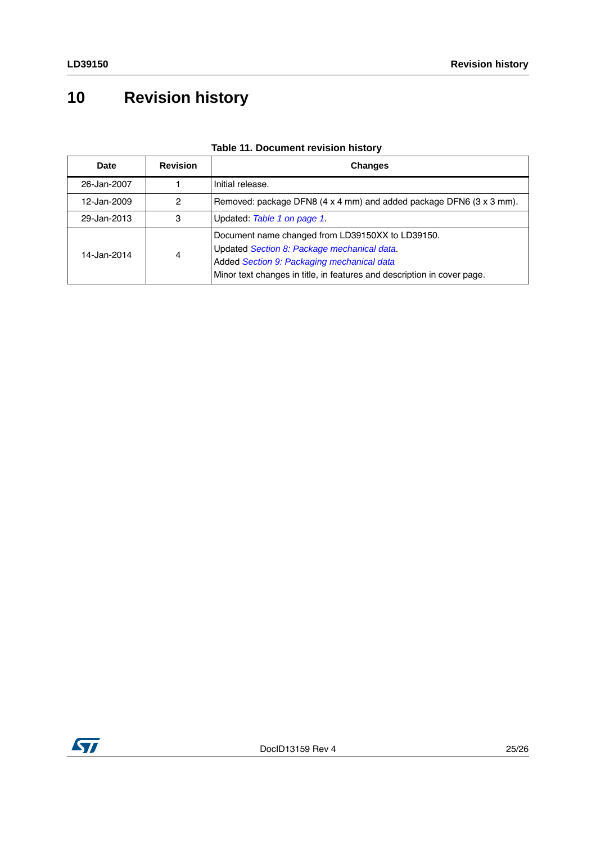# <span id="page-24-0"></span>**10 Revision history**

| Date        | <b>Revision</b> | <b>Changes</b>                                                                                                                                                                                                           |
|-------------|-----------------|--------------------------------------------------------------------------------------------------------------------------------------------------------------------------------------------------------------------------|
| 26-Jan-2007 |                 | Initial release.                                                                                                                                                                                                         |
| 12-Jan-2009 | 2               | Removed: package DFN8 (4 x 4 mm) and added package DFN6 (3 x 3 mm).                                                                                                                                                      |
| 29-Jan-2013 | 3               | Updated: Table 1 on page 1.                                                                                                                                                                                              |
| 14-Jan-2014 | 4               | Document name changed from LD39150XX to LD39150.<br>Updated Section 8: Package mechanical data.<br>Added Section 9: Packaging mechanical data<br>Minor text changes in title, in features and description in cover page. |

### **Table 11. Document revision history**

![](_page_24_Picture_5.jpeg)